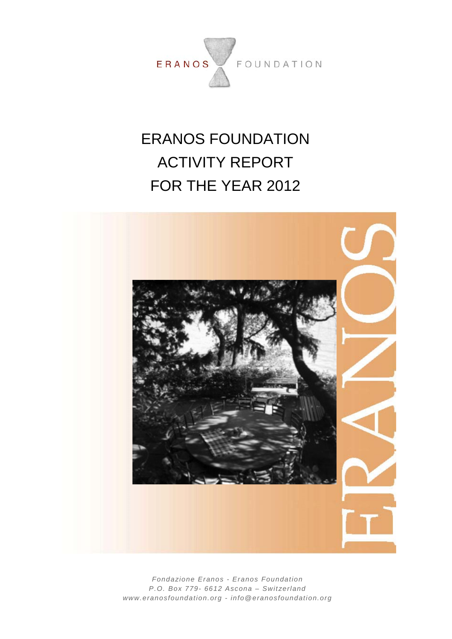

# ERANOS FOUNDATION ACTIVITY REPORT FOR THE YEAR 2012



*Fondazione Eranos - Eranos Foundation P.O. Box 779- 6612 Ascona – Switzerland www.eranosfoundation.org - info@eranosfoundation.org*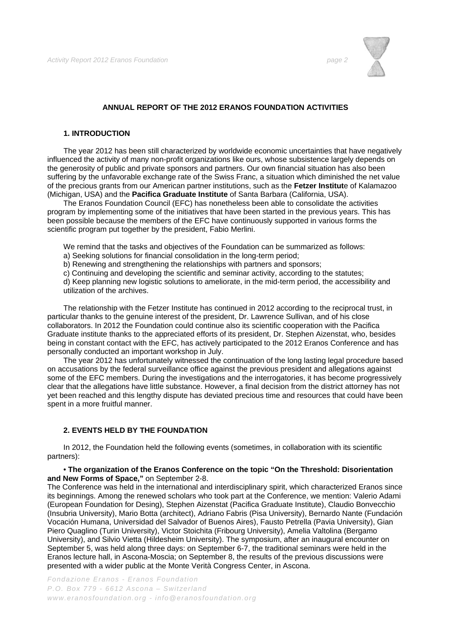

# **ANNUAL REPORT OF THE 2012 ERANOS FOUNDATION ACTIVITIES**

#### **1. INTRODUCTION**

The year 2012 has been still characterized by worldwide economic uncertainties that have negatively influenced the activity of many non-profit organizations like ours, whose subsistence largely depends on the generosity of public and private sponsors and partners. Our own financial situation has also been suffering by the unfavorable exchange rate of the Swiss Franc, a situation which diminished the net value of the precious grants from our American partner institutions, such as the **Fetzer Institut**e of Kalamazoo (Michigan, USA) and the **Pacifica Graduate Institute** of Santa Barbara (California, USA).

The Eranos Foundation Council (EFC) has nonetheless been able to consolidate the activities program by implementing some of the initiatives that have been started in the previous years. This has been possible because the members of the EFC have continuously supported in various forms the scientific program put together by the president, Fabio Merlini.

We remind that the tasks and objectives of the Foundation can be summarized as follows:

- a) Seeking solutions for financial consolidation in the long-term period;
- b) Renewing and strengthening the relationships with partners and sponsors;
- c) Continuing and developing the scientific and seminar activity, according to the statutes;

d) Keep planning new logistic solutions to ameliorate, in the mid-term period, the accessibility and utilization of the archives.

The relationship with the Fetzer Institute has continued in 2012 according to the reciprocal trust, in particular thanks to the genuine interest of the president, Dr. Lawrence Sullivan, and of his close collaborators. In 2012 the Foundation could continue also its scientific cooperation with the Pacifica Graduate institute thanks to the appreciated efforts of its president, Dr. Stephen Aizenstat, who, besides being in constant contact with the EFC, has actively participated to the 2012 Eranos Conference and has personally conducted an important workshop in July.

The year 2012 has unfortunately witnessed the continuation of the long lasting legal procedure based on accusations by the federal surveillance office against the previous president and allegations against some of the EFC members. During the investigations and the interrogatories, it has become progressively clear that the allegations have little substance. However, a final decision from the district attorney has not yet been reached and this lengthy dispute has deviated precious time and resources that could have been spent in a more fruitful manner.

#### **2. EVENTS HELD BY THE FOUNDATION**

In 2012, the Foundation held the following events (sometimes, in collaboration with its scientific partners):

#### • **The organization of the Eranos Conference on the topic "On the Threshold: Disorientation and New Forms of Space,"** on September 2-8.

The Conference was held in the international and interdisciplinary spirit, which characterized Eranos since its beginnings. Among the renewed scholars who took part at the Conference, we mention: Valerio Adami (European Foundation for Desing), Stephen Aizenstat (Pacifica Graduate Institute), Claudio Bonvecchio (Insubria University), Mario Botta (architect), Adriano Fabris (Pisa University), Bernardo Nante (Fundación Vocación Humana, Universidad del Salvador of Buenos Aires), Fausto Petrella (Pavia University), Gian Piero Quaglino (Turin University), Victor Stoichita (Fribourg University), Amelia Valtolina (Bergamo University), and Silvio Vietta (Hildesheim University). The symposium, after an inaugural encounter on September 5, was held along three days: on September 6-7, the traditional seminars were held in the Eranos lecture hall, in Ascona-Moscia; on September 8, the results of the previous discussions were presented with a wider public at the Monte Verità Congress Center, in Ascona.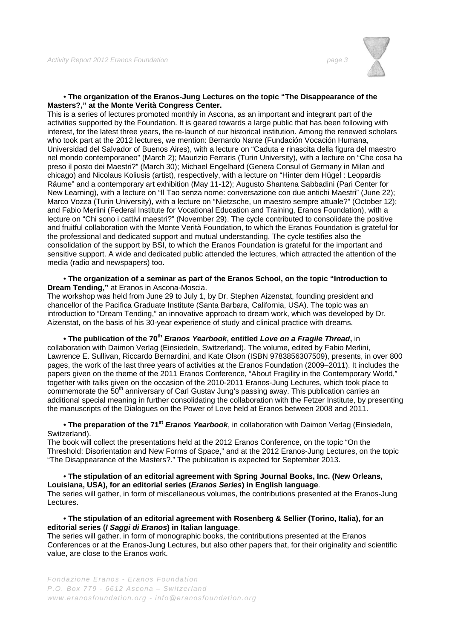

#### • **The organization of the Eranos-Jung Lectures on the topic "The Disappearance of the Masters?," at the Monte Verità Congress Center.**

This is a series of lectures promoted monthly in Ascona, as an important and integrant part of the activities supported by the Foundation. It is geared towards a large public that has been following with interest, for the latest three years, the re-launch of our historical institution. Among the renewed scholars who took part at the 2012 lectures, we mention: Bernardo Nante (Fundación Vocación Humana, Universidad del Salvador of Buenos Aires), with a lecture on "Caduta e rinascita della figura del maestro nel mondo contemporaneo" (March 2); Maurizio Ferraris (Turin University), with a lecture on "Che cosa ha preso il posto dei Maestri?" (March 30); Michael Engelhard (Genera Consul of Germany in Milan and chicago) and Nicolaus Koliusis (artist), respectively, with a lecture on "Hinter dem Hügel : Leopardis Räume" and a contemporary art exhibition (May 11-12); Augusto Shantena Sabbadini (Pari Center for New Learning), with a lecture on "Il Tao senza nome: conversazione con due antichi Maestri" (June 22); Marco Vozza (Turin University), with a lecture on "Nietzsche, un maestro sempre attuale?" (October 12); and Fabio Merlini (Federal Institute for Vocational Education and Training, Eranos Foundation), with a lecture on "Chi sono i cattivi maestri?" (November 29). The cycle contributed to consolidate the positive and fruitful collaboration with the Monte Verità Foundation, to which the Eranos Foundation is grateful for the professional and dedicated support and mutual understanding. The cycle testifies also the consolidation of the support by BSI, to which the Eranos Foundation is grateful for the important and sensitive support. A wide and dedicated public attended the lectures, which attracted the attention of the media (radio and newspapers) too.

#### • **The organization of a seminar as part of the Eranos School, on the topic "Introduction to Dream Tending,"** at Eranos in Ascona-Moscia.

The workshop was held from June 29 to July 1, by Dr. Stephen Aizenstat, founding president and chancellor of the Pacifica Graduate Institute (Santa Barbara, California, USA). The topic was an introduction to "Dream Tending," an innovative approach to dream work, which was developed by Dr. Aizenstat, on the basis of his 30-year experience of study and clinical practice with dreams.

# **• The publication of the 70<sup>th</sup>** *Eranos Yearbook*, entitled *Love on a Fragile Thread*, in

collaboration with Daimon Verlag (Einsiedeln, Switzerland). The volume, edited by Fabio Merlini, Lawrence E. Sullivan, Riccardo Bernardini, and Kate Olson (ISBN 9783856307509), presents, in over 800 pages, the work of the last three years of activities at the Eranos Foundation (2009–2011). It includes the papers given on the theme of the 2011 Eranos Conference, "About Fragility in the Contemporary World," together with talks given on the occasion of the 2010-2011 Eranos-Jung Lectures, which took place to commemorate the 50<sup>th</sup> anniversary of Carl Gustav Jung's passing away. This publication carries an additional special meaning in further consolidating the collaboration with the Fetzer Institute, by presenting the manuscripts of the Dialogues on the Power of Love held at Eranos between 2008 and 2011.

#### • The preparation of the 71<sup>st</sup> *Eranos Yearbook*, in collaboration with Daimon Verlag (Einsiedeln, Switzerland).

The book will collect the presentations held at the 2012 Eranos Conference, on the topic "On the Threshold: Disorientation and New Forms of Space," and at the 2012 Eranos-Jung Lectures, on the topic "The Disappearance of the Masters?." The publication is expected for September 2013.

#### • **The stipulation of an editorial agreement with Spring Journal Books, Inc. (New Orleans, Louisiana, USA), for an editorial series (***Eranos Series***) in English language**. The series will gather, in form of miscellaneous volumes, the contributions presented at the Eranos-Jung Lectures.

### **• The stipulation of an editorial agreement with Rosenberg & Sellier (Torino, Italia), for an editorial series (***I Saggi di Eranos***) in Italian language**.

The series will gather, in form of monographic books, the contributions presented at the Eranos Conferences or at the Eranos-Jung Lectures, but also other papers that, for their originality and scientific value, are close to the Eranos work.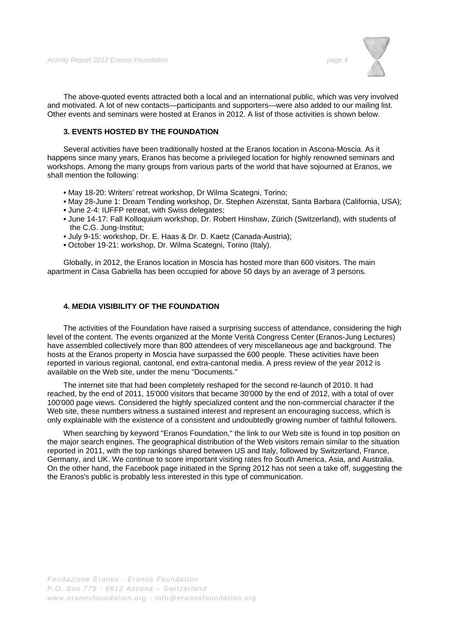

The above-quoted events attracted both a local and an international public, which was very involved and motivated. A lot of new contacts—participants and supporters—were also added to our mailing list. Other events and seminars were hosted at Eranos in 2012. A list of those activities is shown below.

# **3. EVENTS HOSTED BY THE FOUNDATION**

Several activities have been traditionally hosted at the Eranos location in Ascona-Moscia. As it happens since many years, Eranos has become a privileged location for highly renowned seminars and workshops. Among the many groups from various parts of the world that have sojourned at Eranos, we shall mention the following:

- May 18-20: Writers' retreat workshop, Dr Wilma Scategni, Torino;
- May 28-June 1: Dream Tending workshop, Dr. Stephen Aizenstat, Santa Barbara (California, USA);
- June 2-4: IUFFP retreat, with Swiss delegates;
- June 14-17: Fall Kolloquium workshop, Dr. Robert Hinshaw, Zürich (Switzerland), with students of the C.G. Jung-Institut;
- July 9-15: workshop, Dr. E. Haas & Dr. D. Kaetz (Canada-Austria);
- October 19-21: workshop, Dr. Wilma Scategni, Torino (Italy).

Globally, in 2012, the Eranos location in Moscia has hosted more than 600 visitors. The main apartment in Casa Gabriella has been occupied for above 50 days by an average of 3 persons.

### **4. MEDIA VISIBILITY OF THE FOUNDATION**

The activities of the Foundation have raised a surprising success of attendance, considering the high level of the content. The events organized at the Monte Verità Congress Center (Eranos-Jung Lectures) have assembled collectively more than 800 attendees of very miscellaneous age and background. The hosts at the Eranos property in Moscia have surpassed the 600 people. These activities have been reported in various regional, cantonal, end extra-cantonal media. A press review of the year 2012 is available on the Web site, under the menu "Documents."

The internet site that had been completely reshaped for the second re-launch of 2010. It had reached, by the end of 2011, 15'000 visitors that became 30'000 by the end of 2012, with a total of over 100'000 page views. Considered the highly specialized content and the non-commercial character if the Web site, these numbers witness a sustained interest and represent an encouraging success, which is only explainable with the existence of a consistent and undoubtedly growing number of faithful followers.

When searching by keyword "Eranos Foundation," the link to our Web site is found in top position on the major search engines. The geographical distribution of the Web visitors remain similar to the situation reported in 2011, with the top rankings shared between US and Italy, followed by Switzerland, France, Germany, and UK. We continue to score important visiting rates fro South America, Asia, and Australia. On the other hand, the Facebook page initiated in the Spring 2012 has not seen a take off, suggesting the the Eranos's public is probably less interested in this type of communication.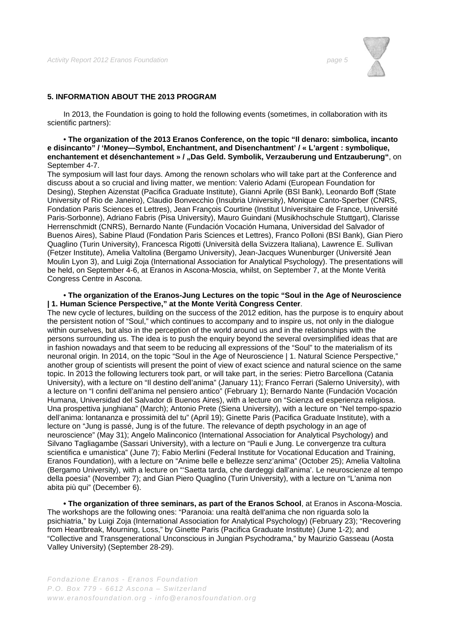

# **5. INFORMATION ABOUT THE 2013 PROGRAM**

In 2013, the Foundation is going to hold the following events (sometimes, in collaboration with its scientific partners):

#### • **The organization of the 2013 Eranos Conference, on the topic "Il denaro: simbolica, incanto e disincanto" / 'Money—Symbol, Enchantment, and Disenchantment' / « L'argent : symbolique, enchantement et désenchantement » / "Das Geld. Symbolik, Verzauberung und Entzauberung"**, on September 4-7.

The symposium will last four days. Among the renown scholars who will take part at the Conference and discuss about a so crucial and living matter, we mention: Valerio Adami (European Foundation for Desing), Stephen Aizenstat (Pacifica Graduate Institute), Gianni Aprile (BSI Bank), Leonardo Boff (State University of Rio de Janeiro), Claudio Bonvecchio (Insubria University), Monique Canto-Sperber (CNRS, Fondation Paris Sciences et Lettres), Jean François Courtine (Institut Universitaire de France, Université Paris-Sorbonne), Adriano Fabris (Pisa University), Mauro Guindani (Musikhochschule Stuttgart), Clarisse Herrenschmidt (CNRS), Bernardo Nante (Fundación Vocación Humana, Universidad del Salvador of Buenos Aires), Sabine Plaud (Fondation Paris Sciences et Lettres), Franco Polloni (BSI Bank), Gian Piero Quaglino (Turin University), Francesca Rigotti (Università della Svizzera Italiana), Lawrence E. Sullivan (Fetzer Institute), Amelia Valtolina (Bergamo University), Jean-Jacques Wunenburger (Université Jean Moulin Lyon 3), and Luigi Zoja (International Association for Analytical Psychology). The presentations will be held, on September 4-6, at Eranos in Ascona-Moscia, whilst, on September 7, at the Monte Verità Congress Centre in Ascona.

#### • **The organization of the Eranos-Jung Lectures on the topic "Soul in the Age of Neuroscience | 1. Human Science Perspective," at the Monte Verità Congress Center**.

The new cycle of lectures, building on the success of the 2012 edition, has the purpose is to enquiry about the persistent notion of "Soul," which continues to accompany and to inspire us, not only in the dialogue within ourselves, but also in the perception of the world around us and in the relationships with the persons surrounding us. The idea is to push the enquiry beyond the several oversimplified ideas that are in fashion nowadays and that seem to be reducing all expressions of the "Soul" to the materialism of its neuronal origin. In 2014, on the topic "Soul in the Age of Neuroscience | 1. Natural Science Perspective," another group of scientists will present the point of view of exact science and natural science on the same topic. In 2013 the following lecturers took part, or will take part, in the series: Pietro Barcellona (Catania University), with a lecture on "Il destino dell'anima" (January 11); Franco Ferrari (Salerno University), with a lecture on "I confini dell'anima nel pensiero antico" (February 1); Bernardo Nante (Fundación Vocación Humana, Universidad del Salvador di Buenos Aires), with a lecture on "Scienza ed esperienza religiosa. Una prospettiva junghiana" (March); Antonio Prete (Siena University), with a lecture on "Nel tempo-spazio dell'anima: lontananza e prossimità del tu" (April 19); Ginette Paris (Pacifica Graduate Institute), with a lecture on "Jung is passé, Jung is of the future. The relevance of depth psychology in an age of neuroscience" (May 31); Angelo Malinconico (International Association for Analytical Psychology) and Silvano Tagliagambe (Sassari University), with a lecture on "Pauli e Jung. Le convergenze tra cultura scientifica e umanistica" (June 7); Fabio Merlini (Federal Institute for Vocational Education and Training, Eranos Foundation), with a lecture on "Anime belle e bellezze senz'anima" (October 25); Amelia Valtolina (Bergamo University), with a lecture on "'Saetta tarda, che dardeggi dall'anima'. Le neuroscienze al tempo della poesia" (November 7); and Gian Piero Quaglino (Turin University), with a lecture on "L'anima non abita più qui" (December 6).

**• The organization of three seminars, as part of the Eranos School**, at Eranos in Ascona-Moscia. The workshops are the following ones: "Paranoia: una realtà dell'anima che non riguarda solo la psichiatria," by Luigi Zoja (International Association for Analytical Psychology) (February 23); "Recovering from Heartbreak, Mourning, Loss," by Ginette Paris (Pacifica Graduate Institute) (June 1-2); and "Collective and Transgenerational Unconscious in Jungian Psychodrama," by Maurizio Gasseau (Aosta Valley University) (September 28-29).